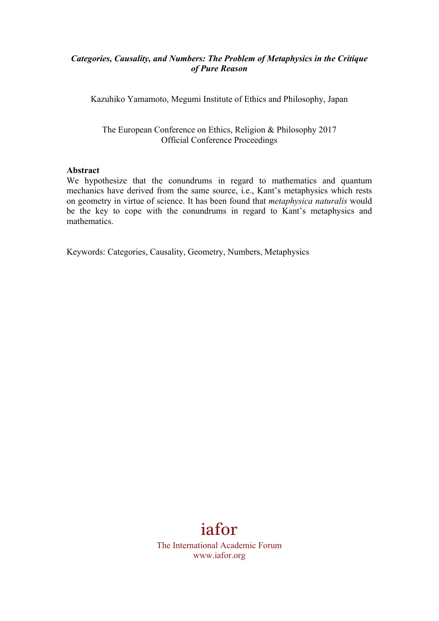### *Categories, Causality, and Numbers: The Problem of Metaphysics in the Critique of Pure Reason*

Kazuhiko Yamamoto, Megumi Institute of Ethics and Philosophy, Japan

The European Conference on Ethics, Religion & Philosophy 2017 Official Conference Proceedings

#### **Abstract**

We hypothesize that the conundrums in regard to mathematics and quantum mechanics have derived from the same source, i.e., Kant's metaphysics which rests on geometry in virtue of science. It has been found that *metaphysica naturalis* would be the key to cope with the conundrums in regard to Kant's metaphysics and mathematics.

Keywords: Categories, Causality, Geometry, Numbers, Metaphysics

# iafor

The International Academic Forum www.iafor.org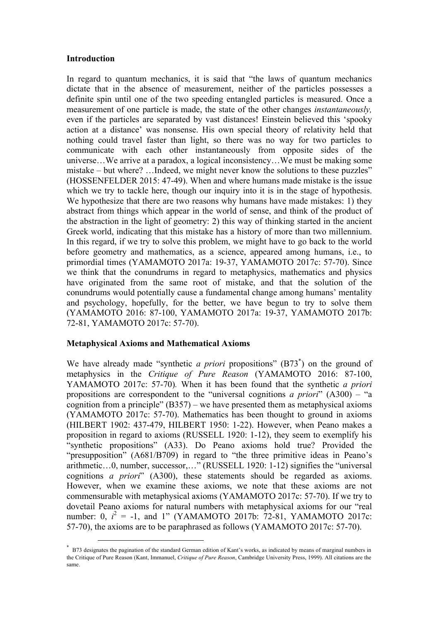#### **Introduction**

In regard to quantum mechanics, it is said that "the laws of quantum mechanics dictate that in the absence of measurement, neither of the particles possesses a definite spin until one of the two speeding entangled particles is measured. Once a measurement of one particle is made, the state of the other changes *instantaneously,*  even if the particles are separated by vast distances! Einstein believed this 'spooky action at a distance' was nonsense. His own special theory of relativity held that nothing could travel faster than light, so there was no way for two particles to communicate with each other instantaneously from opposite sides of the universe…We arrive at a paradox, a logical inconsistency…We must be making some mistake – but where? …Indeed, we might never know the solutions to these puzzles" (HOSSENFELDER 2015: 47-49). When and where humans made mistake is the issue which we try to tackle here, though our inquiry into it is in the stage of hypothesis. We hypothesize that there are two reasons why humans have made mistakes: 1) they abstract from things which appear in the world of sense, and think of the product of the abstraction in the light of geometry: 2) this way of thinking started in the ancient Greek world, indicating that this mistake has a history of more than two millennium. In this regard, if we try to solve this problem, we might have to go back to the world before geometry and mathematics, as a science, appeared among humans, i.e., to primordial times (YAMAMOTO 2017a: 19-37, YAMAMOTO 2017c: 57-70). Since we think that the conundrums in regard to metaphysics, mathematics and physics have originated from the same root of mistake, and that the solution of the conundrums would potentially cause a fundamental change among humans' mentality and psychology, hopefully, for the better, we have begun to try to solve them (YAMAMOTO 2016: 87-100, YAMAMOTO 2017a: 19-37, YAMAMOTO 2017b: 72-81, YAMAMOTO 2017c: 57-70).

#### **Metaphysical Axioms and Mathematical Axioms**

We have already made "synthetic *a priori* propositions" (B73<sup>\*</sup>) on the ground of metaphysics in the *Critique of Pure Reason* (YAMAMOTO 2016: 87-100, YAMAMOTO 2017c: 57-70)*.* When it has been found that the synthetic *a priori* propositions are correspondent to the "universal cognitions *a priori*" (A300) – "a cognition from a principle" (B357) – we have presented them as metaphysical axioms (YAMAMOTO 2017c: 57-70). Mathematics has been thought to ground in axioms (HILBERT 1902: 437-479, HILBERT 1950: 1-22). However, when Peano makes a proposition in regard to axioms (RUSSELL 1920: 1-12), they seem to exemplify his "synthetic propositions" (A33). Do Peano axioms hold true? Provided the "presupposition" (A681/B709) in regard to "the three primitive ideas in Peano's arithmetic…0, number, successor,…" (RUSSELL 1920: 1-12) signifies the "universal cognitions *a priori*" (A300), these statements should be regarded as axioms. However, when we examine these axioms, we note that these axioms are not commensurable with metaphysical axioms (YAMAMOTO 2017c: 57-70). If we try to dovetail Peano axioms for natural numbers with metaphysical axioms for our "real number: 0,  $i^2 = -1$ , and 1" (YAMAMOTO 2017b: 72-81, YAMAMOTO 2017c: 57-70), the axioms are to be paraphrased as follows (YAMAMOTO 2017c: 57-70).

 <sup>\*</sup> B73 designates the pagination of the standard German edition of Kant's works, as indicated by means of marginal numbers in the Critique of Pure Reason (Kant, Immanuel, *Critique of Pure Reason*, Cambridge University Press, 1999). All citations are the same.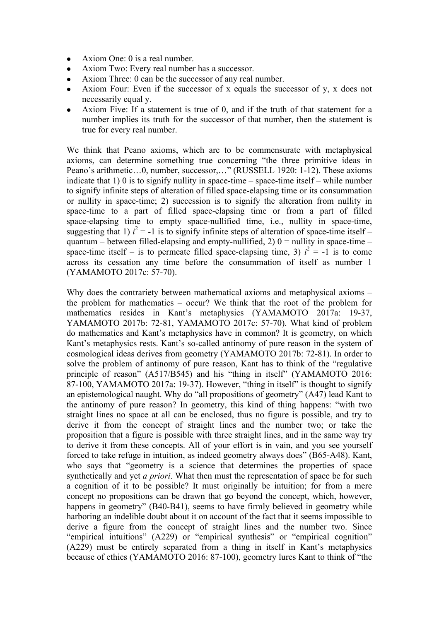- Axiom One: 0 is a real number.
- Axiom Two: Every real number has a successor.
- Axiom Three: 0 can be the successor of any real number.
- <sup>l</sup> Axiom Four: Even if the successor of x equals the successor of y, x does not necessarily equal y.
- Axiom Five: If a statement is true of 0, and if the truth of that statement for a number implies its truth for the successor of that number, then the statement is true for every real number.

We think that Peano axioms, which are to be commensurate with metaphysical axioms, can determine something true concerning "the three primitive ideas in Peano's arithmetic…0, number, successor,…" (RUSSELL 1920: 1-12). These axioms indicate that 1) 0 is to signify nullity in space-time – space-time itself – while number to signify infinite steps of alteration of filled space-elapsing time or its consummation or nullity in space-time; 2) succession is to signify the alteration from nullity in space-time to a part of filled space-elapsing time or from a part of filled space-elapsing time to empty space-nullified time, i.e., nullity in space-time, suggesting that 1)  $i^2 = -1$  is to signify infinite steps of alteration of space-time itself – quantum – between filled-elapsing and empty-nullified, 2)  $0 =$  nullity in space-time – space-time itself – is to permeate filled space-elapsing time, 3)  $i^2 = -1$  is to come across its cessation any time before the consummation of itself as number 1 (YAMAMOTO 2017c: 57-70).

Why does the contrariety between mathematical axioms and metaphysical axioms – the problem for mathematics – occur? We think that the root of the problem for mathematics resides in Kant's metaphysics (YAMAMOTO 2017a: 19-37, YAMAMOTO 2017b: 72-81, YAMAMOTO 2017c: 57-70). What kind of problem do mathematics and Kant's metaphysics have in common? It is geometry, on which Kant's metaphysics rests. Kant's so-called antinomy of pure reason in the system of cosmological ideas derives from geometry (YAMAMOTO 2017b: 72-81). In order to solve the problem of antinomy of pure reason, Kant has to think of the "regulative principle of reason" (A517/B545) and his "thing in itself" (YAMAMOTO 2016: 87-100, YAMAMOTO 2017a: 19-37). However, "thing in itself" is thought to signify an epistemological naught. Why do "all propositions of geometry" (A47) lead Kant to the antinomy of pure reason? In geometry, this kind of thing happens: "with two straight lines no space at all can be enclosed, thus no figure is possible, and try to derive it from the concept of straight lines and the number two; or take the proposition that a figure is possible with three straight lines, and in the same way try to derive it from these concepts. All of your effort is in vain, and you see yourself forced to take refuge in intuition, as indeed geometry always does" (B65-A48). Kant, who says that "geometry is a science that determines the properties of space synthetically and yet *a priori*. What then must the representation of space be for such a cognition of it to be possible? It must originally be intuition; for from a mere concept no propositions can be drawn that go beyond the concept, which, however, happens in geometry" (B40-B41), seems to have firmly believed in geometry while harboring an indelible doubt about it on account of the fact that it seems impossible to derive a figure from the concept of straight lines and the number two. Since "empirical intuitions" (A229) or "empirical synthesis" or "empirical cognition" (A229) must be entirely separated from a thing in itself in Kant's metaphysics because of ethics (YAMAMOTO 2016: 87-100), geometry lures Kant to think of "the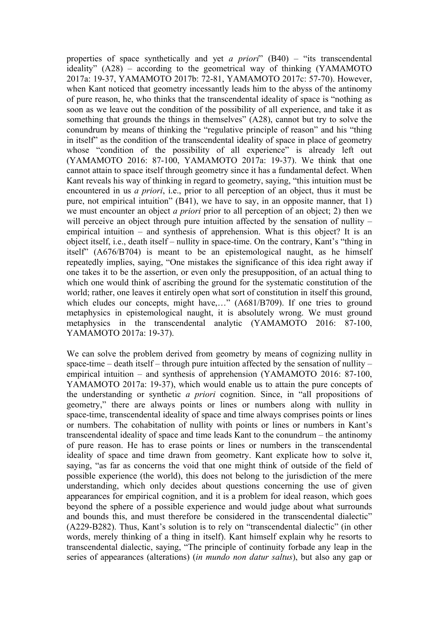properties of space synthetically and yet *a priori*" (B40) – "its transcendental ideality" (A28) – according to the geometrical way of thinking (YAMAMOTO 2017a: 19-37, YAMAMOTO 2017b: 72-81, YAMAMOTO 2017c: 57-70). However, when Kant noticed that geometry incessantly leads him to the abyss of the antinomy of pure reason, he, who thinks that the transcendental ideality of space is "nothing as soon as we leave out the condition of the possibility of all experience, and take it as something that grounds the things in themselves" (A28), cannot but try to solve the conundrum by means of thinking the "regulative principle of reason" and his "thing in itself" as the condition of the transcendental ideality of space in place of geometry whose "condition of the possibility of all experience" is already left out (YAMAMOTO 2016: 87-100, YAMAMOTO 2017a: 19-37). We think that one cannot attain to space itself through geometry since it has a fundamental defect. When Kant reveals his way of thinking in regard to geometry, saying, "this intuition must be encountered in us *a priori*, i.e., prior to all perception of an object, thus it must be pure, not empirical intuition" (B41), we have to say, in an opposite manner, that 1) we must encounter an object *a priori* prior to all perception of an object; 2) then we will perceive an object through pure intuition affected by the sensation of nullity – empirical intuition – and synthesis of apprehension. What is this object? It is an object itself, i.e., death itself – nullity in space-time. On the contrary, Kant's "thing in itself" (A676/B704) is meant to be an epistemological naught, as he himself repeatedly implies, saying, "One mistakes the significance of this idea right away if one takes it to be the assertion, or even only the presupposition, of an actual thing to which one would think of ascribing the ground for the systematic constitution of the world; rather, one leaves it entirely open what sort of constitution in itself this ground, which eludes our concepts, might have,..." (A681/B709). If one tries to ground metaphysics in epistemological naught, it is absolutely wrong. We must ground metaphysics in the transcendental analytic (YAMAMOTO 2016: 87-100, YAMAMOTO 2017a: 19-37).

We can solve the problem derived from geometry by means of cognizing nullity in space-time – death itself – through pure intuition affected by the sensation of nullity – empirical intuition – and synthesis of apprehension (YAMAMOTO 2016: 87-100, YAMAMOTO 2017a: 19-37), which would enable us to attain the pure concepts of the understanding or synthetic *a priori* cognition. Since, in "all propositions of geometry," there are always points or lines or numbers along with nullity in space-time, transcendental ideality of space and time always comprises points or lines or numbers. The cohabitation of nullity with points or lines or numbers in Kant's transcendental ideality of space and time leads Kant to the conundrum – the antinomy of pure reason. He has to erase points or lines or numbers in the transcendental ideality of space and time drawn from geometry. Kant explicate how to solve it, saying, "as far as concerns the void that one might think of outside of the field of possible experience (the world), this does not belong to the jurisdiction of the mere understanding, which only decides about questions concerning the use of given appearances for empirical cognition, and it is a problem for ideal reason, which goes beyond the sphere of a possible experience and would judge about what surrounds and bounds this, and must therefore be considered in the transcendental dialectic" (A229-B282). Thus, Kant's solution is to rely on "transcendental dialectic" (in other words, merely thinking of a thing in itself). Kant himself explain why he resorts to transcendental dialectic, saying, "The principle of continuity forbade any leap in the series of appearances (alterations) (*in mundo non datur saltus*), but also any gap or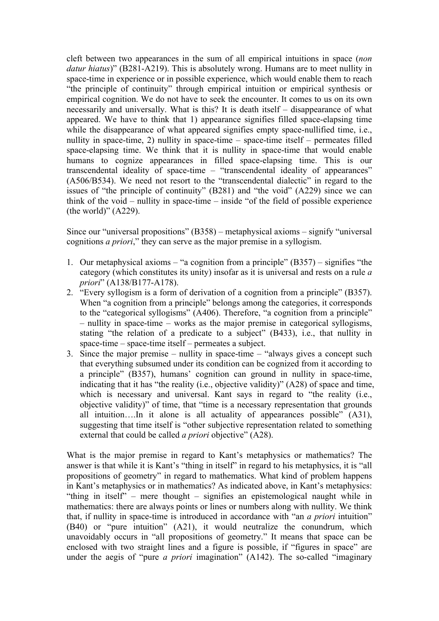cleft between two appearances in the sum of all empirical intuitions in space (*non datur hiatus*)" (B281-A219). This is absolutely wrong. Humans are to meet nullity in space-time in experience or in possible experience, which would enable them to reach "the principle of continuity" through empirical intuition or empirical synthesis or empirical cognition. We do not have to seek the encounter. It comes to us on its own necessarily and universally. What is this? It is death itself – disappearance of what appeared. We have to think that 1) appearance signifies filled space-elapsing time while the disappearance of what appeared signifies empty space-nullified time, i.e., nullity in space-time, 2) nullity in space-time – space-time itself – permeates filled space-elapsing time. We think that it is nullity in space-time that would enable humans to cognize appearances in filled space-elapsing time. This is our transcendental ideality of space-time – "transcendental ideality of appearances" (A506/B534). We need not resort to the "transcendental dialectic" in regard to the issues of "the principle of continuity" (B281) and "the void" (A229) since we can think of the void – nullity in space-time – inside "of the field of possible experience (the world)" (A229).

Since our "universal propositions" (B358) – metaphysical axioms – signify "universal cognitions *a priori*," they can serve as the major premise in a syllogism.

- 1. Our metaphysical axioms "a cognition from a principle" (B357) signifies "the category (which constitutes its unity) insofar as it is universal and rests on a rule *a priori*" (A138/B177-A178).
- 2. "Every syllogism is a form of derivation of a cognition from a principle" (B357). When "a cognition from a principle" belongs among the categories, it corresponds to the "categorical syllogisms" (A406). Therefore, "a cognition from a principle" – nullity in space-time – works as the major premise in categorical syllogisms, stating "the relation of a predicate to a subject" (B433), i.e., that nullity in space-time – space-time itself – permeates a subject.
- 3. Since the major premise nullity in space-time "always gives a concept such that everything subsumed under its condition can be cognized from it according to a principle" (B357), humans' cognition can ground in nullity in space-time, indicating that it has "the reality (i.e., objective validity)" (A28) of space and time, which is necessary and universal. Kant says in regard to "the reality (i.e., objective validity)" of time, that "time is a necessary representation that grounds all intuition….In it alone is all actuality of appearances possible" (A31), suggesting that time itself is "other subjective representation related to something external that could be called *a priori* objective" (A28).

What is the major premise in regard to Kant's metaphysics or mathematics? The answer is that while it is Kant's "thing in itself" in regard to his metaphysics, it is "all propositions of geometry" in regard to mathematics. What kind of problem happens in Kant's metaphysics or in mathematics? As indicated above, in Kant's metaphysics: "thing in itself" – mere thought – signifies an epistemological naught while in mathematics: there are always points or lines or numbers along with nullity. We think that, if nullity in space-time is introduced in accordance with "an *a priori* intuition" (B40) or "pure intuition" (A21), it would neutralize the conundrum, which unavoidably occurs in "all propositions of geometry." It means that space can be enclosed with two straight lines and a figure is possible, if "figures in space" are under the aegis of "pure *a priori* imagination" (A142). The so-called "imaginary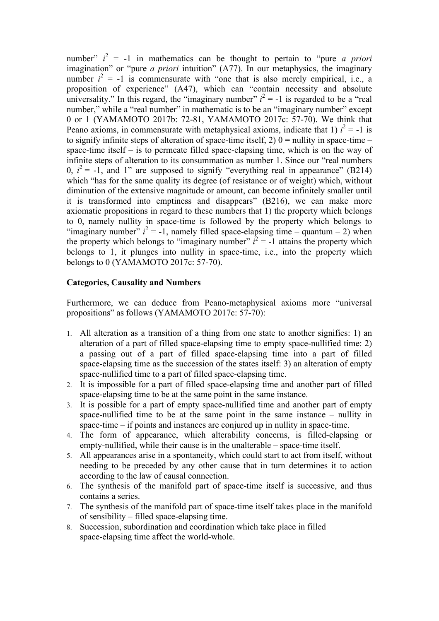number"  $i^2 = -1$  in mathematics can be thought to pertain to "pure *a priori* imagination" or "pure *a priori* intuition" (A77). In our metaphysics, the imaginary number  $i^2 = -1$  is commensurate with "one that is also merely empirical, i.e., a proposition of experience" (A47), which can "contain necessity and absolute universality." In this regard, the "imaginary number"  $i^2 = -1$  is regarded to be a "real number," while a "real number" in mathematic is to be an "imaginary number" except 0 or 1 (YAMAMOTO 2017b: 72-81, YAMAMOTO 2017c: 57-70). We think that Peano axioms, in commensurate with metaphysical axioms, indicate that 1)  $i^2 = -1$  is to signify infinite steps of alteration of space-time itself, 2)  $0 =$  nullity in space-time – space-time itself – is to permeate filled space-elapsing time, which is on the way of infinite steps of alteration to its consummation as number 1. Since our "real numbers 0,  $i^2 = -1$ , and 1" are supposed to signify "everything real in appearance" (B214) which "has for the same quality its degree (of resistance or of weight) which, without diminution of the extensive magnitude or amount, can become infinitely smaller until it is transformed into emptiness and disappears" (B216), we can make more axiomatic propositions in regard to these numbers that 1) the property which belongs to 0, namely nullity in space-time is followed by the property which belongs to "imaginary number"  $i^2 = -1$ , namely filled space-elapsing time – quantum – 2) when the property which belongs to "imaginary number"  $i^2 = -1$  attains the property which belongs to 1, it plunges into nullity in space-time, i.e., into the property which belongs to 0 (YAMAMOTO 2017c: 57-70).

## **Categories, Causality and Numbers**

Furthermore, we can deduce from Peano-metaphysical axioms more "universal propositions" as follows (YAMAMOTO 2017c: 57-70):

- 1. All alteration as a transition of a thing from one state to another signifies: 1) an alteration of a part of filled space-elapsing time to empty space-nullified time: 2) a passing out of a part of filled space-elapsing time into a part of filled space-elapsing time as the succession of the states itself: 3) an alteration of empty space-nullified time to a part of filled space-elapsing time.
- 2. It is impossible for a part of filled space-elapsing time and another part of filled space-elapsing time to be at the same point in the same instance.
- 3. It is possible for a part of empty space-nullified time and another part of empty space-nullified time to be at the same point in the same instance – nullity in space-time – if points and instances are conjured up in nullity in space-time.
- 4. The form of appearance, which alterability concerns, is filled-elapsing or empty-nullified, while their cause is in the unalterable – space-time itself.
- 5. All appearances arise in a spontaneity, which could start to act from itself, without needing to be preceded by any other cause that in turn determines it to action according to the law of causal connection.
- 6. The synthesis of the manifold part of space-time itself is successive, and thus contains a series.
- 7. The synthesis of the manifold part of space-time itself takes place in the manifold of sensibility – filled space-elapsing time.
- 8. Succession, subordination and coordination which take place in filled space-elapsing time affect the world-whole.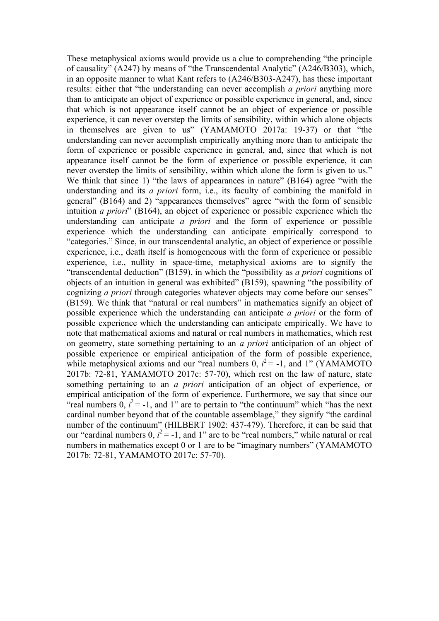These metaphysical axioms would provide us a clue to comprehending "the principle of causality" (A247) by means of "the Transcendental Analytic" (A246/B303), which, in an opposite manner to what Kant refers to (A246/B303-A247), has these important results: either that "the understanding can never accomplish *a priori* anything more than to anticipate an object of experience or possible experience in general, and, since that which is not appearance itself cannot be an object of experience or possible experience, it can never overstep the limits of sensibility, within which alone objects in themselves are given to us" (YAMAMOTO 2017a: 19-37) or that "the understanding can never accomplish empirically anything more than to anticipate the form of experience or possible experience in general, and, since that which is not appearance itself cannot be the form of experience or possible experience, it can never overstep the limits of sensibility, within which alone the form is given to us." We think that since 1) "the laws of appearances in nature" (B164) agree "with the understanding and its *a priori* form, i.e., its faculty of combining the manifold in general" (B164) and 2) "appearances themselves" agree "with the form of sensible intuition *a priori*" (B164), an object of experience or possible experience which the understanding can anticipate *a priori* and the form of experience or possible experience which the understanding can anticipate empirically correspond to "categories." Since, in our transcendental analytic, an object of experience or possible experience, i.e., death itself is homogeneous with the form of experience or possible experience, i.e., nullity in space-time, metaphysical axioms are to signify the "transcendental deduction" (B159), in which the "possibility as *a priori* cognitions of objects of an intuition in general was exhibited" (B159), spawning "the possibility of cognizing *a priori* through categories whatever objects may come before our senses" (B159). We think that "natural or real numbers" in mathematics signify an object of possible experience which the understanding can anticipate *a priori* or the form of possible experience which the understanding can anticipate empirically. We have to note that mathematical axioms and natural or real numbers in mathematics, which rest on geometry, state something pertaining to an *a priori* anticipation of an object of possible experience or empirical anticipation of the form of possible experience, while metaphysical axioms and our "real numbers  $0$ ,  $i^2$  = -1, and 1" (YAMAMOTO 2017b: 72-81, YAMAMOTO 2017c: 57-70), which rest on the law of nature, state something pertaining to an *a priori* anticipation of an object of experience, or empirical anticipation of the form of experience. Furthermore, we say that since our "real numbers  $\overline{0}$ ,  $i^2$  = -1, and 1" are to pertain to "the continuum" which "has the next" cardinal number beyond that of the countable assemblage," they signify "the cardinal number of the continuum" (HILBERT 1902: 437-479). Therefore, it can be said that our "cardinal numbers  $0$ ,  $i^2 = -1$ , and 1" are to be "real numbers," while natural or real numbers in mathematics except 0 or 1 are to be "imaginary numbers" (YAMAMOTO 2017b: 72-81, YAMAMOTO 2017c: 57-70).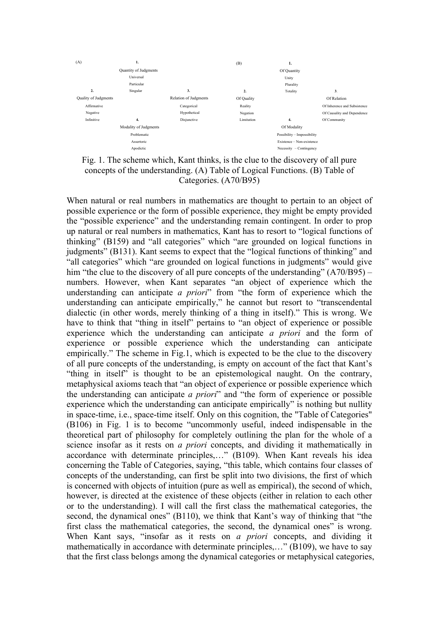

Fig. 1. The scheme which, Kant thinks, is the clue to the discovery of all pure concepts of the understanding. (A) Table of Logical Functions. (B) Table of Categories. (A70/B95)

When natural or real numbers in mathematics are thought to pertain to an object of possible experience or the form of possible experience, they might be empty provided the "possible experience" and the understanding remain contingent. In order to prop up natural or real numbers in mathematics, Kant has to resort to "logical functions of thinking" (B159) and "all categories" which "are grounded on logical functions in judgments" (B131). Kant seems to expect that the "logical functions of thinking" and "all categories" which "are grounded on logical functions in judgments" would give him "the clue to the discovery of all pure concepts of the understanding" (A70/B95) – numbers. However, when Kant separates "an object of experience which the understanding can anticipate *a priori*" from "the form of experience which the understanding can anticipate empirically," he cannot but resort to "transcendental dialectic (in other words, merely thinking of a thing in itself)." This is wrong. We have to think that "thing in itself" pertains to "an object of experience or possible experience which the understanding can anticipate *a priori* and the form of experience or possible experience which the understanding can anticipate empirically." The scheme in Fig.1, which is expected to be the clue to the discovery of all pure concepts of the understanding, is empty on account of the fact that Kant's "thing in itself" is thought to be an epistemological naught. On the contrary, metaphysical axioms teach that "an object of experience or possible experience which the understanding can anticipate *a priori*" and "the form of experience or possible experience which the understanding can anticipate empirically" is nothing but nullity in space-time, i.e., space-time itself. Only on this cognition, the "Table of Categories" (B106) in Fig. 1 is to become "uncommonly useful, indeed indispensable in the theoretical part of philosophy for completely outlining the plan for the whole of a science insofar as it rests on *a priori* concepts, and dividing it mathematically in accordance with determinate principles,…" (B109). When Kant reveals his idea concerning the Table of Categories, saying, "this table, which contains four classes of concepts of the understanding, can first be split into two divisions, the first of which is concerned with objects of intuition (pure as well as empirical), the second of which, however, is directed at the existence of these objects (either in relation to each other or to the understanding). I will call the first class the mathematical categories, the second, the dynamical ones" (B110), we think that Kant's way of thinking that "the first class the mathematical categories, the second, the dynamical ones" is wrong. When Kant says, "insofar as it rests on *a priori* concepts, and dividing it mathematically in accordance with determinate principles,..." (B109), we have to say that the first class belongs among the dynamical categories or metaphysical categories,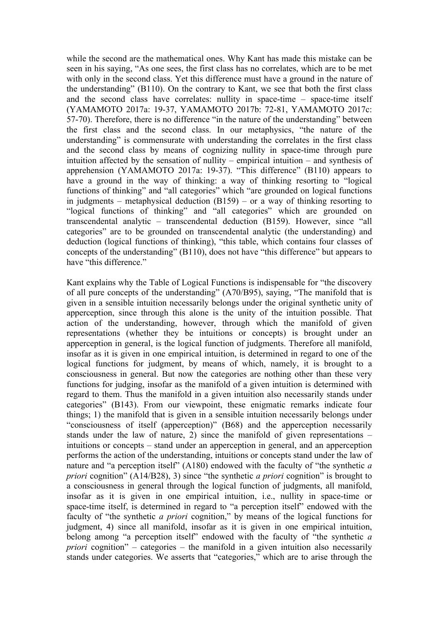while the second are the mathematical ones. Why Kant has made this mistake can be seen in his saying, "As one sees, the first class has no correlates, which are to be met with only in the second class. Yet this difference must have a ground in the nature of the understanding" (B110). On the contrary to Kant, we see that both the first class and the second class have correlates: nullity in space-time – space-time itself (YAMAMOTO 2017a: 19-37, YAMAMOTO 2017b: 72-81, YAMAMOTO 2017c: 57-70). Therefore, there is no difference "in the nature of the understanding" between the first class and the second class. In our metaphysics, "the nature of the understanding" is commensurate with understanding the correlates in the first class and the second class by means of cognizing nullity in space-time through pure intuition affected by the sensation of nullity – empirical intuition – and synthesis of apprehension (YAMAMOTO 2017a: 19-37). "This difference" (B110) appears to have a ground in the way of thinking: a way of thinking resorting to "logical functions of thinking" and "all categories" which "are grounded on logical functions in judgments – metaphysical deduction (B159) – or a way of thinking resorting to "logical functions of thinking" and "all categories" which are grounded on transcendental analytic – transcendental deduction (B159). However, since "all categories" are to be grounded on transcendental analytic (the understanding) and deduction (logical functions of thinking), "this table, which contains four classes of concepts of the understanding" (B110), does not have "this difference" but appears to have "this difference."

Kant explains why the Table of Logical Functions is indispensable for "the discovery of all pure concepts of the understanding" (A70/B95), saying, "The manifold that is given in a sensible intuition necessarily belongs under the original synthetic unity of apperception, since through this alone is the unity of the intuition possible. That action of the understanding, however, through which the manifold of given representations (whether they be intuitions or concepts) is brought under an apperception in general, is the logical function of judgments. Therefore all manifold, insofar as it is given in one empirical intuition, is determined in regard to one of the logical functions for judgment, by means of which, namely, it is brought to a consciousness in general. But now the categories are nothing other than these very functions for judging, insofar as the manifold of a given intuition is determined with regard to them. Thus the manifold in a given intuition also necessarily stands under categories" (B143). From our viewpoint, these enigmatic remarks indicate four things; 1) the manifold that is given in a sensible intuition necessarily belongs under "consciousness of itself (apperception)" (B68) and the apperception necessarily stands under the law of nature, 2) since the manifold of given representations – intuitions or concepts – stand under an apperception in general, and an apperception performs the action of the understanding, intuitions or concepts stand under the law of nature and "a perception itself" (A180) endowed with the faculty of "the synthetic *a priori* cognition" (A14/B28), 3) since "the synthetic *a priori* cognition" is brought to a consciousness in general through the logical function of judgments, all manifold, insofar as it is given in one empirical intuition, i.e., nullity in space-time or space-time itself, is determined in regard to "a perception itself" endowed with the faculty of "the synthetic *a priori* cognition," by means of the logical functions for judgment, 4) since all manifold, insofar as it is given in one empirical intuition, belong among "a perception itself" endowed with the faculty of "the synthetic *a priori* cognition" – categories – the manifold in a given intuition also necessarily stands under categories. We asserts that "categories," which are to arise through the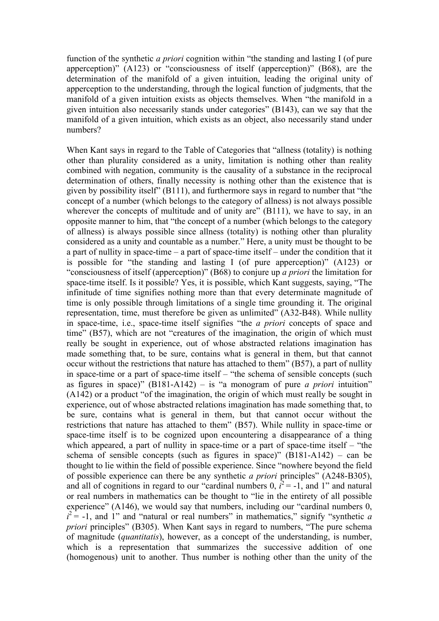function of the synthetic *a priori* cognition within "the standing and lasting I (of pure apperception)" (A123) or "consciousness of itself (apperception)" (B68), are the determination of the manifold of a given intuition, leading the original unity of apperception to the understanding, through the logical function of judgments, that the manifold of a given intuition exists as objects themselves. When "the manifold in a given intuition also necessarily stands under categories" (B143), can we say that the manifold of a given intuition, which exists as an object, also necessarily stand under numbers?

When Kant says in regard to the Table of Categories that "allness (totality) is nothing other than plurality considered as a unity, limitation is nothing other than reality combined with negation, community is the causality of a substance in the reciprocal determination of others, finally necessity is nothing other than the existence that is given by possibility itself" (B111), and furthermore says in regard to number that "the concept of a number (which belongs to the category of allness) is not always possible wherever the concepts of multitude and of unity are" (B111), we have to say, in an opposite manner to him, that "the concept of a number (which belongs to the category of allness) is always possible since allness (totality) is nothing other than plurality considered as a unity and countable as a number." Here, a unity must be thought to be a part of nullity in space-time – a part of space-time itself – under the condition that it is possible for "the standing and lasting I (of pure apperception)" (A123) or "consciousness of itself (apperception)" (B68) to conjure up *a priori* the limitation for space-time itself. Is it possible? Yes, it is possible, which Kant suggests, saying, "The infinitude of time signifies nothing more than that every determinate magnitude of time is only possible through limitations of a single time grounding it. The original representation, time, must therefore be given as unlimited" (A32-B48). While nullity in space-time, i.e., space-time itself signifies "the *a priori* concepts of space and time" (B57), which are not "creatures of the imagination, the origin of which must really be sought in experience, out of whose abstracted relations imagination has made something that, to be sure, contains what is general in them, but that cannot occur without the restrictions that nature has attached to them" (B57), a part of nullity in space-time or a part of space-time itself – "the schema of sensible concepts (such as figures in space)"  $(B181-A142) -$  is "a monogram of pure *a priori* intuition" (A142) or a product "of the imagination, the origin of which must really be sought in experience, out of whose abstracted relations imagination has made something that, to be sure, contains what is general in them, but that cannot occur without the restrictions that nature has attached to them" (B57). While nullity in space-time or space-time itself is to be cognized upon encountering a disappearance of a thing which appeared, a part of nullity in space-time or a part of space-time itself – "the schema of sensible concepts (such as figures in space)"  $(B181-A142)$  – can be thought to lie within the field of possible experience. Since "nowhere beyond the field of possible experience can there be any synthetic *a priori* principles" (A248-B305), and all of cognitions in regard to our "cardinal numbers  $0$ ,  $i^2 = -1$ , and 1" and natural or real numbers in mathematics can be thought to "lie in the entirety of all possible experience" (A146), we would say that numbers, including our "cardinal numbers 0,  $i^2$  = -1, and 1" and "natural or real numbers" in mathematics," signify "synthetic *a priori* principles" (B305). When Kant says in regard to numbers, "The pure schema of magnitude (*quantitatis*), however, as a concept of the understanding, is number, which is a representation that summarizes the successive addition of one (homogenous) unit to another. Thus number is nothing other than the unity of the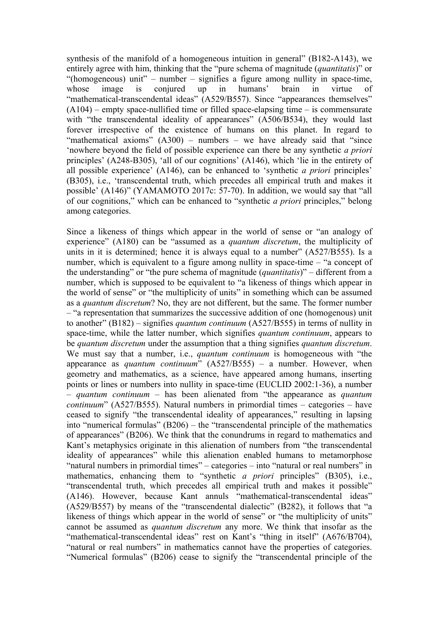synthesis of the manifold of a homogeneous intuition in general" (B182-A143), we entirely agree with him, thinking that the "pure schema of magnitude (*quantitatis*)" or "(homogeneous) unit" – number – signifies a figure among nullity in space-time, whose image is conjured up in humans' brain in virtue of "mathematical-transcendental ideas" (A529/B557). Since "appearances themselves"  $(A104)$  – empty space-nullified time or filled space-elapsing time – is commensurate with "the transcendental ideality of appearances" (A506/B534), they would last forever irrespective of the existence of humans on this planet. In regard to "mathematical axioms"  $(A300)$  – numbers – we have already said that "since 'nowhere beyond the field of possible experience can there be any synthetic *a priori* principles' (A248-B305), 'all of our cognitions' (A146), which 'lie in the entirety of all possible experience' (A146), can be enhanced to 'synthetic *a priori* principles' (B305), i.e., 'transcendental truth, which precedes all empirical truth and makes it possible' (A146)" (YAMAMOTO 2017c: 57-70). In addition, we would say that "all of our cognitions," which can be enhanced to "synthetic *a priori* principles," belong among categories.

Since a likeness of things which appear in the world of sense or "an analogy of experience" (A180) can be "assumed as a *quantum discretum*, the multiplicity of units in it is determined; hence it is always equal to a number" (A527/B555). Is a number, which is equivalent to a figure among nullity in space-time – "a concept of the understanding" or "the pure schema of magnitude (*quantitatis*)" – different from a number, which is supposed to be equivalent to "a likeness of things which appear in the world of sense" or "the multiplicity of units" in something which can be assumed as a *quantum discretum*? No, they are not different, but the same. The former number – "a representation that summarizes the successive addition of one (homogenous) unit to another" (B182) – signifies *quantum continuum* (A527/B555) in terms of nullity in space-time, while the latter number, which signifies *quantum continuum*, appears to be *quantum discretum* under the assumption that a thing signifies *quantum discretum*. We must say that a number, i.e., *quantum continuum* is homogeneous with "the appearance as *quantum continuum*" (A527/B555) – a number. However, when geometry and mathematics, as a science, have appeared among humans, inserting points or lines or numbers into nullity in space-time (EUCLID 2002:1-36), a number – *quantum continuum* – has been alienated from "the appearance as *quantum continuum*" (A527/B555). Natural numbers in primordial times – categories – have ceased to signify "the transcendental ideality of appearances," resulting in lapsing into "numerical formulas" (B206) – the "transcendental principle of the mathematics of appearances" (B206). We think that the conundrums in regard to mathematics and Kant's metaphysics originate in this alienation of numbers from "the transcendental ideality of appearances" while this alienation enabled humans to metamorphose "natural numbers in primordial times" – categories – into "natural or real numbers" in mathematics, enhancing them to "synthetic *a priori* principles" (B305), i.e., "transcendental truth, which precedes all empirical truth and makes it possible" (A146). However, because Kant annuls "mathematical-transcendental ideas" (A529/B557) by means of the "transcendental dialectic" (B282), it follows that "a likeness of things which appear in the world of sense" or "the multiplicity of units" cannot be assumed as *quantum discretum* any more. We think that insofar as the "mathematical-transcendental ideas" rest on Kant's "thing in itself" (A676/B704), "natural or real numbers" in mathematics cannot have the properties of categories. "Numerical formulas" (B206) cease to signify the "transcendental principle of the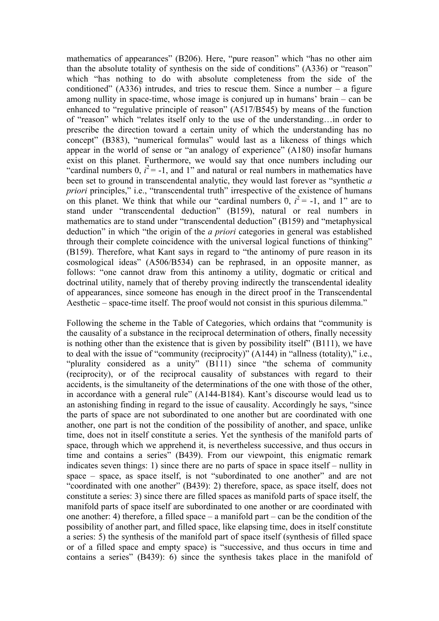mathematics of appearances" (B206). Here, "pure reason" which "has no other aim than the absolute totality of synthesis on the side of conditions" (A336) or "reason" which "has nothing to do with absolute completeness from the side of the conditioned"  $(A336)$  intrudes, and tries to rescue them. Since a number – a figure among nullity in space-time, whose image is conjured up in humans' brain – can be enhanced to "regulative principle of reason" (A517/B545) by means of the function of "reason" which "relates itself only to the use of the understanding…in order to prescribe the direction toward a certain unity of which the understanding has no concept" (B383), "numerical formulas" would last as a likeness of things which appear in the world of sense or "an analogy of experience" (A180) insofar humans exist on this planet. Furthermore, we would say that once numbers including our "cardinal numbers 0,  $i^2 = -1$ , and 1" and natural or real numbers in mathematics have been set to ground in transcendental analytic, they would last forever as "synthetic *a priori* principles," i.e., "transcendental truth" irrespective of the existence of humans on this planet. We think that while our "cardinal numbers  $0$ ,  $i^2 = -1$ , and 1" are to stand under "transcendental deduction" (B159), natural or real numbers in mathematics are to stand under "transcendental deduction" (B159) and "metaphysical deduction" in which "the origin of the *a priori* categories in general was established through their complete coincidence with the universal logical functions of thinking" (B159). Therefore, what Kant says in regard to "the antinomy of pure reason in its cosmological ideas" (A506/B534) can be rephrased, in an opposite manner, as follows: "one cannot draw from this antinomy a utility, dogmatic or critical and doctrinal utility, namely that of thereby proving indirectly the transcendental ideality of appearances, since someone has enough in the direct proof in the Transcendental Aesthetic – space-time itself. The proof would not consist in this spurious dilemma."

Following the scheme in the Table of Categories, which ordains that "community is the causality of a substance in the reciprocal determination of others, finally necessity is nothing other than the existence that is given by possibility itself" (B111), we have to deal with the issue of "community (reciprocity)" (A144) in "allness (totality)," i.e., "plurality considered as a unity" (B111) since "the schema of community (reciprocity), or of the reciprocal causality of substances with regard to their accidents, is the simultaneity of the determinations of the one with those of the other, in accordance with a general rule" (A144-B184). Kant's discourse would lead us to an astonishing finding in regard to the issue of causality. Accordingly he says, "since the parts of space are not subordinated to one another but are coordinated with one another, one part is not the condition of the possibility of another, and space, unlike time, does not in itself constitute a series. Yet the synthesis of the manifold parts of space, through which we apprehend it, is nevertheless successive, and thus occurs in time and contains a series" (B439). From our viewpoint, this enigmatic remark indicates seven things: 1) since there are no parts of space in space itself – nullity in space – space, as space itself, is not "subordinated to one another" and are not "coordinated with one another" (B439): 2) therefore, space, as space itself, does not constitute a series: 3) since there are filled spaces as manifold parts of space itself, the manifold parts of space itself are subordinated to one another or are coordinated with one another: 4) therefore, a filled space – a manifold part – can be the condition of the possibility of another part, and filled space, like elapsing time, does in itself constitute a series: 5) the synthesis of the manifold part of space itself (synthesis of filled space or of a filled space and empty space) is "successive, and thus occurs in time and contains a series" (B439): 6) since the synthesis takes place in the manifold of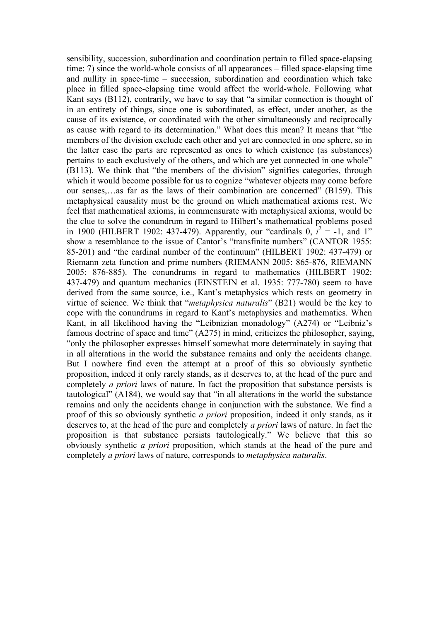sensibility, succession, subordination and coordination pertain to filled space-elapsing time: 7) since the world-whole consists of all appearances – filled space-elapsing time and nullity in space-time – succession, subordination and coordination which take place in filled space-elapsing time would affect the world-whole. Following what Kant says (B112), contrarily, we have to say that "a similar connection is thought of in an entirety of things, since one is subordinated, as effect, under another, as the cause of its existence, or coordinated with the other simultaneously and reciprocally as cause with regard to its determination." What does this mean? It means that "the members of the division exclude each other and yet are connected in one sphere, so in the latter case the parts are represented as ones to which existence (as substances) pertains to each exclusively of the others, and which are yet connected in one whole" (B113). We think that "the members of the division" signifies categories, through which it would become possible for us to cognize "whatever objects may come before our senses,…as far as the laws of their combination are concerned" (B159). This metaphysical causality must be the ground on which mathematical axioms rest. We feel that mathematical axioms, in commensurate with metaphysical axioms, would be the clue to solve the conundrum in regard to Hilbert's mathematical problems posed in 1900 (HILBERT 1902: 437-479). Apparently, our "cardinals  $0, \vec{i}^2 = -1$ , and 1" show a resemblance to the issue of Cantor's "transfinite numbers" (CANTOR 1955: 85-201) and "the cardinal number of the continuum" (HILBERT 1902: 437-479) or Riemann zeta function and prime numbers (RIEMANN 2005: 865-876, RIEMANN 2005: 876-885). The conundrums in regard to mathematics (HILBERT 1902: 437-479) and quantum mechanics (EINSTEIN et al. 1935: 777-780) seem to have derived from the same source, i.e., Kant's metaphysics which rests on geometry in virtue of science. We think that "*metaphysica naturalis*" (B21) would be the key to cope with the conundrums in regard to Kant's metaphysics and mathematics. When Kant, in all likelihood having the "Leibnizian monadology" (A274) or "Leibniz's famous doctrine of space and time" (A275) in mind, criticizes the philosopher, saying, "only the philosopher expresses himself somewhat more determinately in saying that in all alterations in the world the substance remains and only the accidents change. But I nowhere find even the attempt at a proof of this so obviously synthetic proposition, indeed it only rarely stands, as it deserves to, at the head of the pure and completely *a priori* laws of nature. In fact the proposition that substance persists is tautological" (A184), we would say that "in all alterations in the world the substance remains and only the accidents change in conjunction with the substance. We find a proof of this so obviously synthetic *a priori* proposition, indeed it only stands, as it deserves to, at the head of the pure and completely *a priori* laws of nature. In fact the proposition is that substance persists tautologically." We believe that this so obviously synthetic *a priori* proposition, which stands at the head of the pure and completely *a priori* laws of nature, corresponds to *metaphysica naturalis*.